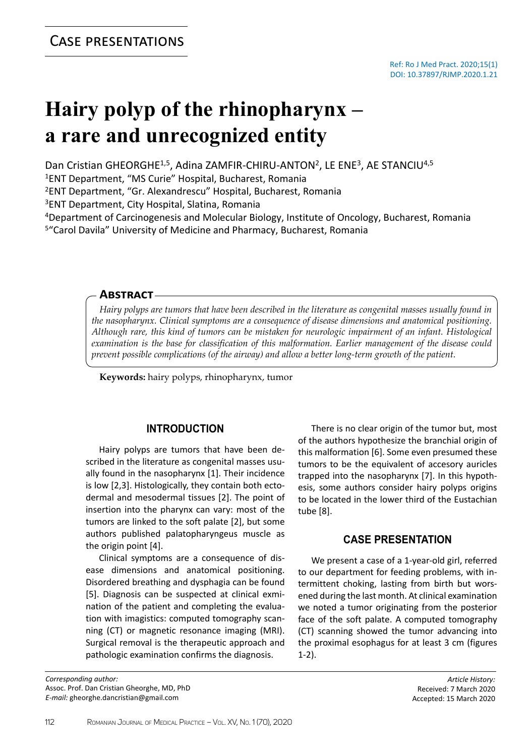# **Hairy polyp of the rhinopharynx – a rare and unrecognized entity**

Dan Cristian GHEORGHE<sup>1,5</sup>, Adina ZAMFIR-CHIRU-ANTON<sup>2</sup>, LE ENE<sup>3</sup>, AE STANCIU<sup>4,5</sup>

<sup>1</sup>ENT Department, "MS Curie" Hospital, Bucharest, Romania

<sup>2</sup>ENT Department, "Gr. Alexandrescu" Hospital, Bucharest, Romania

<sup>3</sup>ENT Department, City Hospital, Slatina, Romania

<sup>4</sup>Department of Carcinogenesis and Molecular Biology, Institute of Oncology, Bucharest, Romania <sup>5</sup>"Carol Davila" University of Medicine and Pharmacy, Bucharest, Romania

#### **Abstract**

*Hairy polyps are tumors that have been described in the literature as congenital masses usually found in the nasopharynx. Clinical symptoms are a consequence of disease dimensions and anatomical positioning. Although rare, this kind of tumors can be mistaken for neurologic impairment of an infant. Histological examination is the base for classification of this malformation. Earlier management of the disease could prevent possible complications (of the airway) and allow a better long-term growth of the patient.*

**Keywords:** hairy polyps, rhinopharynx, tumor

## **INTRODUCTION**

Hairy polyps are tumors that have been described in the literature as congenital masses usually found in the nasopharynx [1]. Their incidence is low [2,3]. Histologically, they contain both ectodermal and mesodermal tissues [2]. The point of insertion into the pharynx can vary: most of the tumors are linked to the soft palate [2], but some authors published palatopharyngeus muscle as the origin point [4].

Clinical symptoms are a consequence of disease dimensions and anatomical positioning. Disordered breathing and dysphagia can be found [5]. Diagnosis can be suspected at clinical exmination of the patient and completing the evaluation with imagistics: computed tomography scanning (CT) or magnetic resonance imaging (MRI). Surgical removal is the therapeutic approach and pathologic examination confirms the diagnosis.

*Corresponding author:* Assoc. Prof. Dan Cristian Gheorghe, MD, PhD *E-mail:* gheorghe.dancristian@gmail.com

There is no clear origin of the tumor but, most of the authors hypothesize the branchial origin of this malformation [6]. Some even presumed these tumors to be the equivalent of accesory auricles trapped into the nasopharynx [7]. In this hypothesis, some authors consider hairy polyps origins to be located in the lower third of the Eustachian tube [8].

## **CASE PRESENTATION**

We present a case of a 1-year-old girl, referred to our department for feeding problems, with intermittent choking, lasting from birth but worsened during the last month. At clinical examination we noted a tumor originating from the posterior face of the soft palate. A computed tomography (CT) scanning showed the tumor advancing into the proximal esophagus for at least 3 cm (figures 1-2).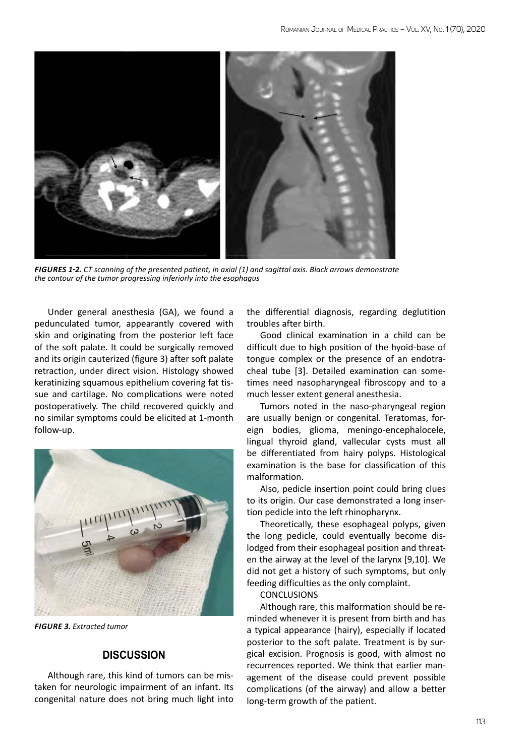

*Figures 1-2. CT scanning of the presented patient, in axial (1) and sagittal axis. Black arrows demonstrate the contour of the tumor progressing inferiorly into the esophagus*

Under general anesthesia (GA), we found a pedunculated tumor, appearantly covered with skin and originating from the posterior left face of the soft palate. It could be surgically removed and its origin cauterized (figure 3) after soft palate retraction, under direct vision. Histology showed keratinizing squamous epithelium covering fat tissue and cartilage. No complications were noted postoperatively. The child recovered quickly and no similar symptoms could be elicited at 1-month follow-up.



*Figure 3. Extracted tumor*

## **DISCUSSION**

Although rare, this kind of tumors can be mistaken for neurologic impairment of an infant. Its congenital nature does not bring much light into

the differential diagnosis, regarding deglutition troubles after birth.

Good clinical examination in a child can be difficult due to high position of the hyoid-base of tongue complex or the presence of an endotracheal tube [3]. Detailed examination can sometimes need nasopharyngeal fibroscopy and to a much lesser extent general anesthesia.

Tumors noted in the naso-pharyngeal region are usually benign or congenital. Teratomas, foreign bodies, glioma, meningo-encephalocele, lingual thyroid gland, vallecular cysts must all be differentiated from hairy polyps. Histological examination is the base for classification of this malformation.

Also, pedicle insertion point could bring clues to its origin. Our case demonstrated a long insertion pedicle into the left rhinopharynx.

Theoretically, these esophageal polyps, given the long pedicle, could eventually become dislodged from their esophageal position and threaten the airway at the level of the larynx [9,10]. We did not get a history of such symptoms, but only feeding difficulties as the only complaint.

**CONCLUSIONS** 

Although rare, this malformation should be reminded whenever it is present from birth and has a typical appearance (hairy), especially if located posterior to the soft palate. Treatment is by surgical excision. Prognosis is good, with almost no recurrences reported. We think that earlier management of the disease could prevent possible complications (of the airway) and allow a better long-term growth of the patient.